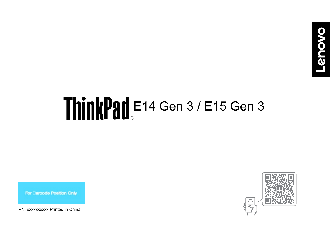# ThinkPad E14 Gen 3 / E15 Gen 3

For Darcode Position Only

PN: xxxxxxxxxx Printed in China

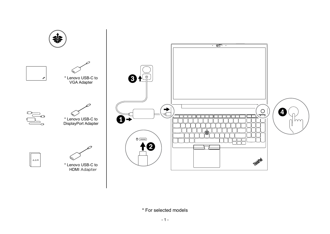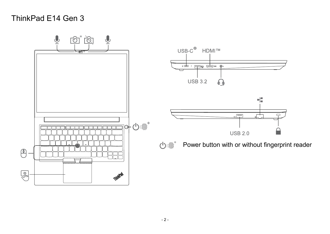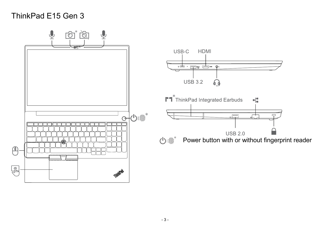# ThinkPad E15 Gen 3

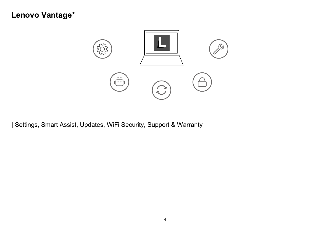# **Lenovo Vantage\***



**|** Settings, Smart Assist, Updates, WiFi Security, Support & Warranty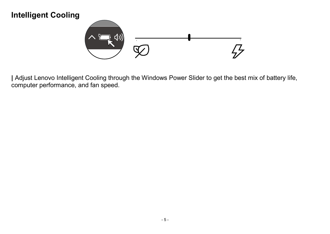# **Intelligent Cooling**



**|** Adjust Lenovo Intelligent Cooling through the Windows Power Slider to get the best mix of battery life, computer performance, and fan speed.